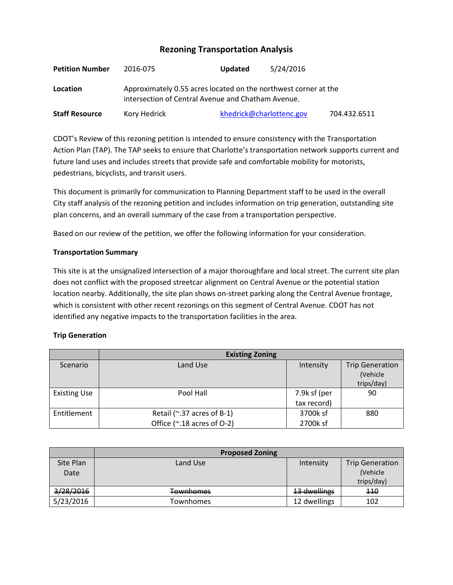# **Rezoning Transportation Analysis**

| <b>Petition Number</b> | 2016-075                                                                                                              | <b>Updated</b>           | 5/24/2016 |              |  |
|------------------------|-----------------------------------------------------------------------------------------------------------------------|--------------------------|-----------|--------------|--|
| Location               | Approximately 0.55 acres located on the northwest corner at the<br>intersection of Central Avenue and Chatham Avenue. |                          |           |              |  |
| <b>Staff Resource</b>  | Kory Hedrick                                                                                                          | khedrick@charlottenc.gov |           | 704.432.6511 |  |

CDOT's Review of this rezoning petition is intended to ensure consistency with the Transportation Action Plan (TAP). The TAP seeks to ensure that Charlotte's transportation network supports current and future land uses and includes streets that provide safe and comfortable mobility for motorists, pedestrians, bicyclists, and transit users.

This document is primarily for communication to Planning Department staff to be used in the overall City staff analysis of the rezoning petition and includes information on trip generation, outstanding site plan concerns, and an overall summary of the case from a transportation perspective.

Based on our review of the petition, we offer the following information for your consideration.

## **Transportation Summary**

This site is at the unsignalized intersection of a major thoroughfare and local street. The current site plan does not conflict with the proposed streetcar alignment on Central Avenue or the potential station location nearby. Additionally, the site plan shows on-street parking along the Central Avenue frontage, which is consistent with other recent rezonings on this segment of Central Avenue. CDOT has not identified any negative impacts to the transportation facilities in the area.

### **Trip Generation**

|                     | <b>Existing Zoning</b>     |              |                        |
|---------------------|----------------------------|--------------|------------------------|
| Scenario            | Land Use                   | Intensity    | <b>Trip Generation</b> |
|                     |                            |              | (Vehicle               |
|                     |                            |              | trips/day)             |
| <b>Existing Use</b> | Pool Hall                  | 7.9k sf (per | 90                     |
|                     |                            | tax record)  |                        |
| Entitlement         | Retail (~.37 acres of B-1) | 3700k sf     | 880                    |
|                     | Office (~.18 acres of O-2) | 2700k sf     |                        |

|           | <b>Proposed Zoning</b> |              |                        |
|-----------|------------------------|--------------|------------------------|
| Site Plan | Land Use               | Intensity    | <b>Trip Generation</b> |
| Date      |                        |              | (Vehicle               |
|           |                        |              | trips/day)             |
| 3/28/2016 | <b>Townhomes</b>       | 13 dwellings | 440                    |
| 5/23/2016 | Townhomes              | 12 dwellings | 102                    |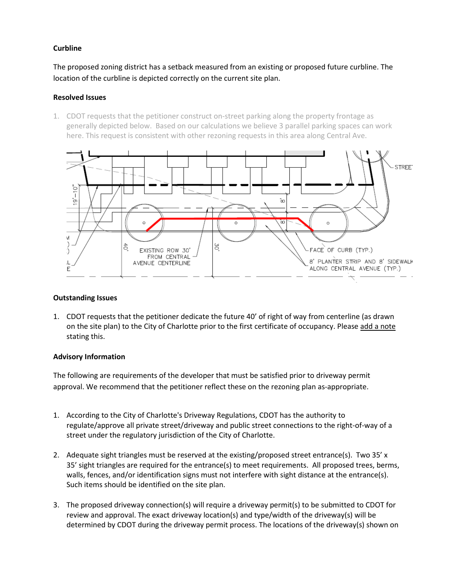## **Curbline**

The proposed zoning district has a setback measured from an existing or proposed future curbline. The location of the curbline is depicted correctly on the current site plan.

## **Resolved Issues**

1. CDOT requests that the petitioner construct on-street parking along the property frontage as generally depicted below. Based on our calculations we believe 3 parallel parking spaces can work here. This request is consistent with other rezoning requests in this area along Central Ave.



### **Outstanding Issues**

1. CDOT requests that the petitioner dedicate the future 40' of right of way from centerline (as drawn on the site plan) to the City of Charlotte prior to the first certificate of occupancy. Please add a note stating this.

### **Advisory Information**

The following are requirements of the developer that must be satisfied prior to driveway permit approval. We recommend that the petitioner reflect these on the rezoning plan as-appropriate.

- 1. According to the City of Charlotte's Driveway Regulations, CDOT has the authority to regulate/approve all private street/driveway and public street connections to the right-of-way of a street under the regulatory jurisdiction of the City of Charlotte.
- 2. Adequate sight triangles must be reserved at the existing/proposed street entrance(s). Two 35' x 35' sight triangles are required for the entrance(s) to meet requirements. All proposed trees, berms, walls, fences, and/or identification signs must not interfere with sight distance at the entrance(s). Such items should be identified on the site plan.
- 3. The proposed driveway connection(s) will require a driveway permit(s) to be submitted to CDOT for review and approval. The exact driveway location(s) and type/width of the driveway(s) will be determined by CDOT during the driveway permit process. The locations of the driveway(s) shown on